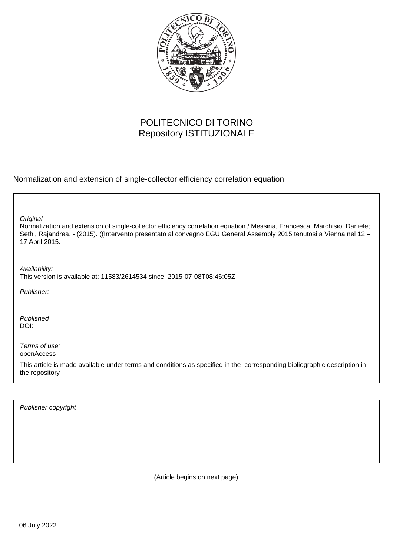

## POLITECNICO DI TORINO Repository ISTITUZIONALE

Normalization and extension of single-collector efficiency correlation equation

**Original** 

Normalization and extension of single-collector efficiency correlation equation / Messina, Francesca; Marchisio, Daniele; Sethi, Rajandrea. - (2015). ((Intervento presentato al convegno EGU General Assembly 2015 tenutosi a Vienna nel 12 – 17 April 2015.

Availability: This version is available at: 11583/2614534 since: 2015-07-08T08:46:05Z

Publisher:

Published DOI:

Terms of use: openAccess

This article is made available under terms and conditions as specified in the corresponding bibliographic description in the repository

Publisher copyright

(Article begins on next page)